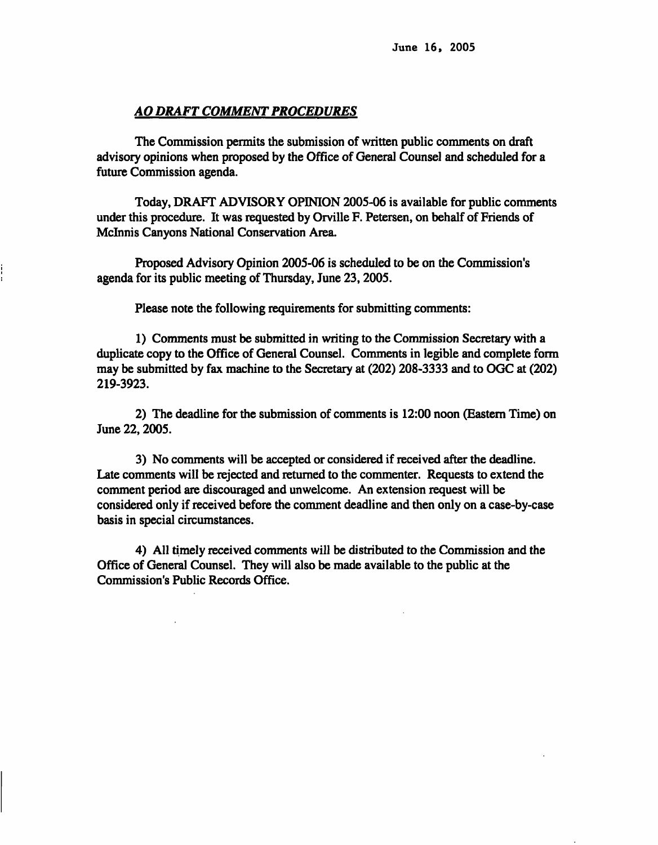### *AO DRAFT COMMENT PROCEDURES*

**The Commission permits the submission of written public comments on draft advisory opinions when proposed by the Office of General Counsel and scheduled for a future Commission agenda.** 

**Today, DRAFT ADVISORY OPINION 2005-06 is available for public comments under this procedure. It was requested by Orville F. Petersen, on behalf of Friends of Mclnnis Canyons National Conservation Area.** 

**Proposed Advisory Opinion 2005-06 is scheduled to be on the Commission's agenda for its public meeting of Thursday, June 23, 2005.** 

**Please note the following requirements for submitting comments:** 

**1) Comments must be submitted in writing to the Commission Secretary with a duplicate copy to the Office of General Counsel. Comments in legible and complete form may be submitted by fax machine to the Secretary at (202) 208-3333 and to OGC at (202) 219-3923.** 

**2) The deadline for the submission of comments is 12:00 noon (Eastern Time) on June 22, 2005.** 

**3) No comments will be accepted or considered if received after the deadline. Late comments will be rejected and returned to the commenter. Requests to extend the comment period are discouraged and unwelcome. An extension request will be considered only if received before the comment deadline and then only on a case-by-case basis in special circumstances.** 

**4) All timely received comments will be distributed to the Commission and the Office of General Counsel. They will also be made available to the public at the Commission's Public Records Office.** 

÷.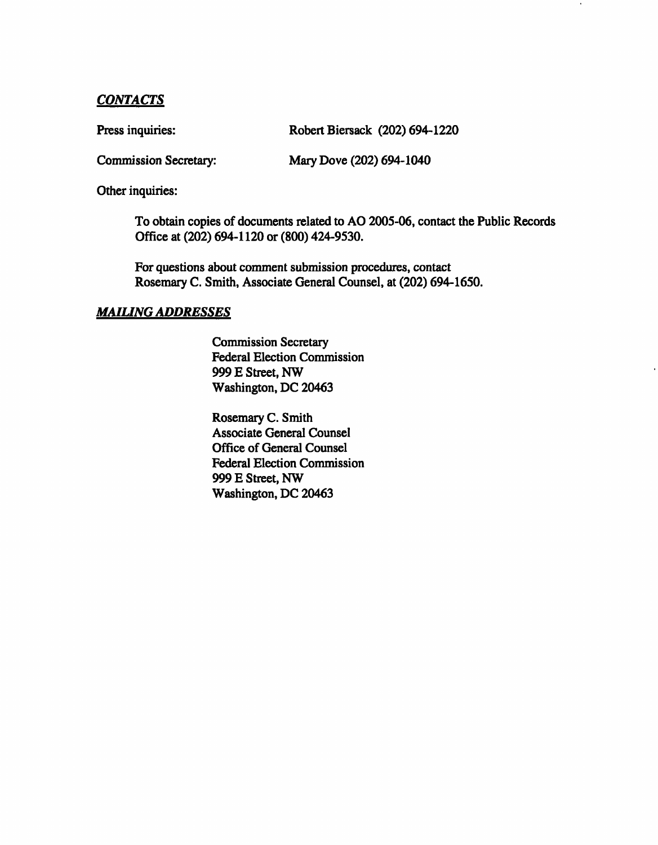# *CONTACTS*

Press inquiries: Robert Biersack (202) 694-1220

**Commission Secretary: Mary Dove (202) 694-1040** 

**Other inquiries:** 

**To obtain copies of documents related to AO 2005-06, contact the Public Records Office at (202) 694-1120 or (800) 424-9530.** 

**For questions about comment submission procedures, contact Rosemary C. Smith, Associate General Counsel, at (202) 694-1650.** 

## *MAILING ADDRESSES*

**Commission Secretary Federal Election Commission 999 E Street, NW Washington, DC 20463** 

**Rosemary C. Smith Associate General Counsel Office of General Counsel Federal Election Commission 999 E Street, NW Washington, DC 20463**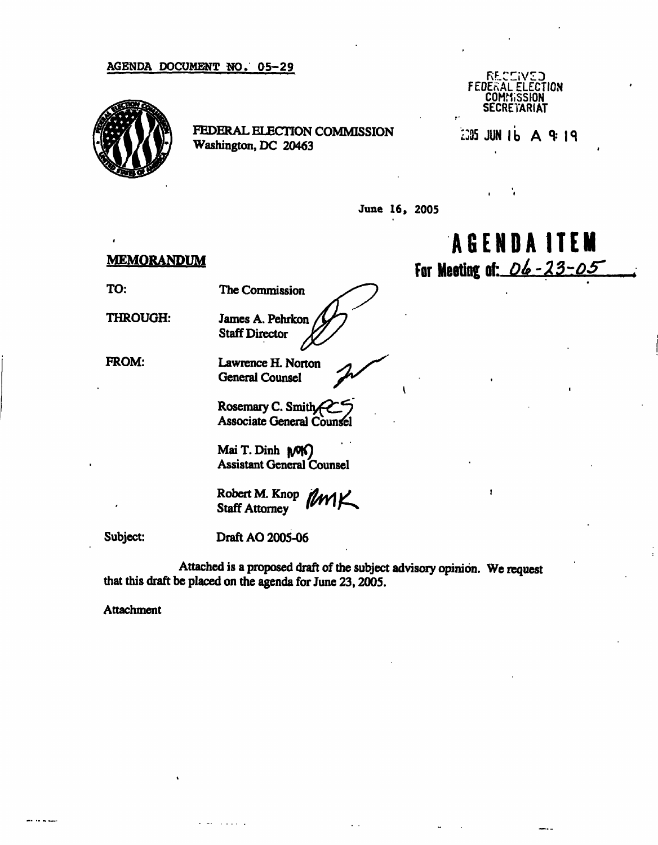### AGENDA DOCUMENT NO. 05-29



FEDERAL ELECTION COMMISSION Washington, DC 20463

**RF\_CIiVZD FEDEKAL ELECTION COMMISSION SECRETARIAT** 

 $L305$  JUN 16 A 9:19

June 16, 2005

### **MEMORANDUM**

TO: The Commission

THROUGH:

James A. Pehrkon Staff Director

FROM:

Lawrence H. Norton

General Counsel **^** 

Rosemary C. Smith Associate General Counsel

Mai T.Dinh *\f>£)*  Assistant General Counsel

Robert M. Knop *flant* Staff Attorney *^rrir^* 

Subject:

Draft AO 2005-06

 $\sim 100$  km s  $^{-1}$ 

Attached is a proposed draft of the subject advisory opinion. We request that this draft be placed on the agenda for June 23, 2005.

Attachment

**AGEND A ITEM**  For Meeting of: *DL-23-05* 

ł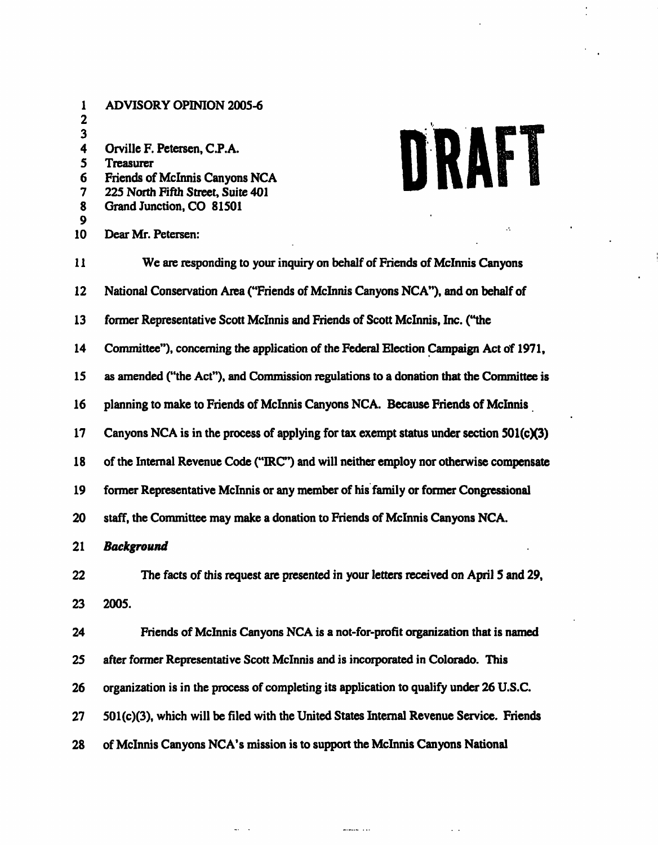| 1<br>2                          | <b>ADVISORY OPINION 2005-6</b>                                                                                                                              |  |  |  |  |  |
|---------------------------------|-------------------------------------------------------------------------------------------------------------------------------------------------------------|--|--|--|--|--|
| 3<br>4<br>5<br>6<br>7<br>8<br>9 | DRAFT<br>Orville F. Petersen, C.P.A.<br><b>Treasurer</b><br>Friends of McInnis Canyons NCA<br>225 North Fifth Street, Suite 401<br>Grand Junction, CO 81501 |  |  |  |  |  |
| 10                              | Dear Mr. Petersen:                                                                                                                                          |  |  |  |  |  |
| 11                              | We are responding to your inquiry on behalf of Friends of McInnis Canyons                                                                                   |  |  |  |  |  |
| 12                              | National Conservation Area ("Friends of McInnis Canyons NCA"), and on behalf of                                                                             |  |  |  |  |  |
| 13                              | former Representative Scott McInnis and Friends of Scott McInnis, Inc. ("the                                                                                |  |  |  |  |  |
| 14                              | Committee"), concerning the application of the Federal Election Campaign Act of 1971,                                                                       |  |  |  |  |  |
| 15                              | as amended ("the Act"), and Commission regulations to a donation that the Committee is                                                                      |  |  |  |  |  |
| 16                              | planning to make to Friends of McInnis Canyons NCA. Because Friends of McInnis                                                                              |  |  |  |  |  |
| 17                              | Canyons NCA is in the process of applying for tax exempt status under section 501(c)(3)                                                                     |  |  |  |  |  |
| 18                              | of the Internal Revenue Code ("IRC") and will neither employ nor otherwise compensate                                                                       |  |  |  |  |  |
| 19                              | former Representative McInnis or any member of his family or former Congressional                                                                           |  |  |  |  |  |
| 20                              | staff, the Committee may make a donation to Friends of McInnis Canyons NCA.                                                                                 |  |  |  |  |  |
| 21                              | <b>Background</b>                                                                                                                                           |  |  |  |  |  |
| 22                              | The facts of this request are presented in your letters received on April 5 and 29,                                                                         |  |  |  |  |  |
| 23                              | 2005.                                                                                                                                                       |  |  |  |  |  |
| 24                              | Friends of McInnis Canyons NCA is a not-for-profit organization that is named                                                                               |  |  |  |  |  |
| 25                              | after former Representative Scott McInnis and is incorporated in Colorado. This                                                                             |  |  |  |  |  |
| 26                              | organization is in the process of completing its application to qualify under 26 U.S.C.                                                                     |  |  |  |  |  |
| 27                              | $501(c)(3)$ , which will be filed with the United States Internal Revenue Service. Friends                                                                  |  |  |  |  |  |
| 28                              | of McInnis Canyons NCA's mission is to support the McInnis Canyons National                                                                                 |  |  |  |  |  |

 $\frac{1}{2}$  and  $\frac{1}{2}$  and  $\frac{1}{2}$ 

 $\mathbf{q}(\mathbf{r})$ 

 $\ddot{\cdot}$ 

 $\mathbf{r}$ 

 $\hat{\mathbf{r}}$ 

 $\ddot{\phantom{a}}$ 

 $\epsilon$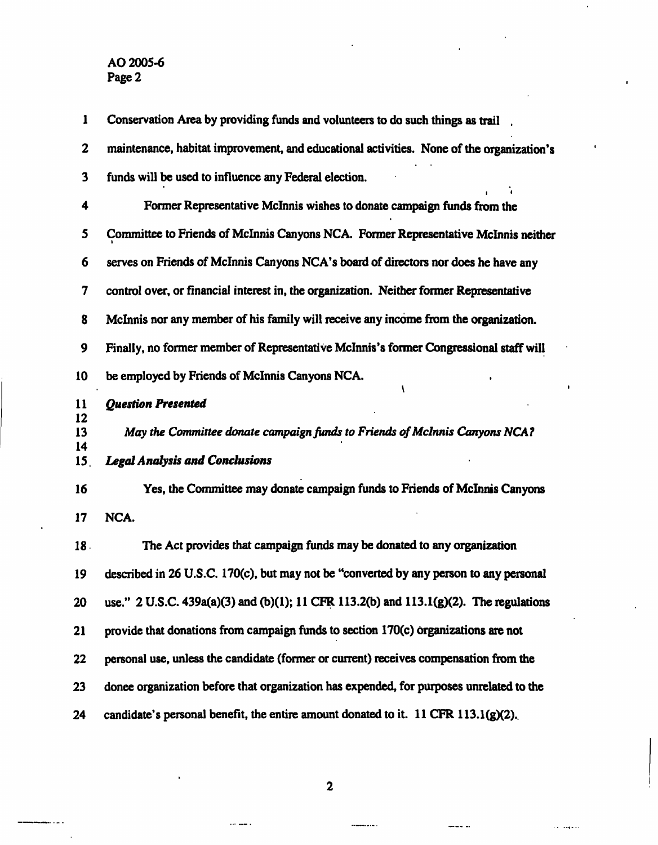| 1         | Conservation Area by providing funds and volunteers to do such things as trail           |  |  |  |  |  |
|-----------|------------------------------------------------------------------------------------------|--|--|--|--|--|
| 2         | maintenance, habitat improvement, and educational activities. None of the organization's |  |  |  |  |  |
| 3         | funds will be used to influence any Federal election.                                    |  |  |  |  |  |
| 4         | Former Representative McInnis wishes to donate campaign funds from the                   |  |  |  |  |  |
| 5         | Committee to Friends of McInnis Canyons NCA. Former Representative McInnis neither       |  |  |  |  |  |
| 6         | serves on Friends of McInnis Canyons NCA's board of directors nor does he have any       |  |  |  |  |  |
| 7         | control over, or financial interest in, the organization. Neither former Representative  |  |  |  |  |  |
| 8         | McInnis nor any member of his family will receive any income from the organization.      |  |  |  |  |  |
| 9         | Finally, no former member of Representative McInnis's former Congressional staff will    |  |  |  |  |  |
| 10        | be employed by Friends of McInnis Canyons NCA.                                           |  |  |  |  |  |
| 11        | <b>Question Presented</b>                                                                |  |  |  |  |  |
| 12<br>13  | May the Committee donate campaign funds to Friends of McInnis Canyons NCA?               |  |  |  |  |  |
| 14<br>15, | <b>Legal Analysis and Conclusions</b>                                                    |  |  |  |  |  |
| 16        | Yes, the Committee may donate campaign funds to Friends of McInnis Canyons               |  |  |  |  |  |
| 17        | NCA.                                                                                     |  |  |  |  |  |
| 18.       | The Act provides that campaign funds may be donated to any organization                  |  |  |  |  |  |
| 19        | described in 26 U.S.C. 170(c), but may not be "converted by any person to any personal   |  |  |  |  |  |
| 20        | use." 2 U.S.C. 439a(a)(3) and (b)(1); 11 CFR 113.2(b) and 113.1(g)(2). The regulations   |  |  |  |  |  |
| 21        | provide that donations from campaign funds to section 170(c) organizations are not       |  |  |  |  |  |
| 22        | personal use, unless the candidate (former or current) receives compensation from the    |  |  |  |  |  |
| 23        | donee organization before that organization has expended, for purposes unrelated to the  |  |  |  |  |  |
| 24        | candidate's personal benefit, the entire amount donated to it. 11 CFR 113.1(g)(2).       |  |  |  |  |  |

à.

a a bailean

**2** 

 $\cdots$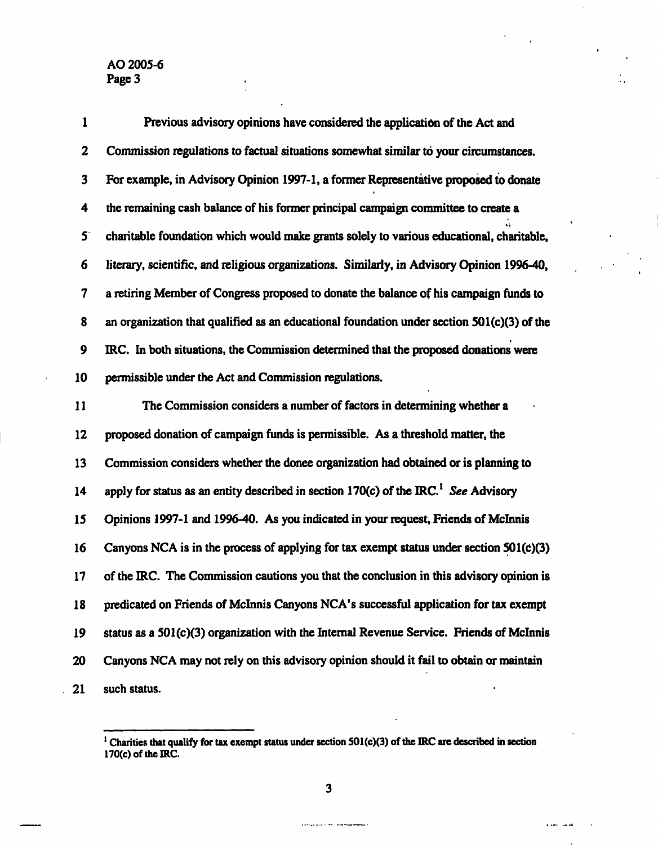$\frac{1}{2}$ 

| 1           | Previous advisory opinions have considered the application of the Act and                       |
|-------------|-------------------------------------------------------------------------------------------------|
| 2           | Commission regulations to factual situations somewhat similar to your circumstances.            |
| 3           | For example, in Advisory Opinion 1997-1, a former Representative proposed to donate             |
| 4           | the remaining cash balance of his former principal campaign committee to create a               |
| $5^{\cdot}$ | charitable foundation which would make grants solely to various educational, charitable,        |
| 6           | literary, scientific, and religious organizations. Similarly, in Advisory Opinion 1996-40,      |
| 7           | a retiring Member of Congress proposed to donate the balance of his campaign funds to           |
| 8           | an organization that qualified as an educational foundation under section $501(c)(3)$ of the    |
| 9           | IRC. In both situations, the Commission determined that the proposed donations were             |
| 10          | permissible under the Act and Commission regulations.                                           |
| 11          | The Commission considers a number of factors in determining whether a                           |
| 12          | proposed donation of campaign funds is permissible. As a threshold matter, the                  |
| 13          | Commission considers whether the donee organization had obtained or is planning to              |
| 14          | apply for status as an entity described in section 170(c) of the IRC. <sup>1</sup> See Advisory |
| 15          | Opinions 1997-1 and 1996-40. As you indicated in your request, Friends of McInnis               |
| 16          | Canyons NCA is in the process of applying for tax exempt status under section 501(c)(3)         |
| 17          | of the IRC. The Commission cautions you that the conclusion in this advisory opinion is         |
| 18          | predicated on Friends of McInnis Canyons NCA's successful application for tax exempt            |
| 19          | status as a 501(c)(3) organization with the Internal Revenue Service. Friends of McInnis        |
| 20          | Canyons NCA may not rely on this advisory opinion should it fail to obtain or maintain          |
| 21          | such status.                                                                                    |

 $\mathcal{A}^{\mathcal{A}}$ 

 $\mathbf{r}$ 

a salah salah

 $\ddot{\phantom{a}}$ 

 $\frac{1}{2}$ 

**3** 

and an annual

<sup>&</sup>lt;sup>1</sup> Charities that qualify for tax exempt status under section 501(c)(3) of the IRC are described in section **170(c) of the IRC.**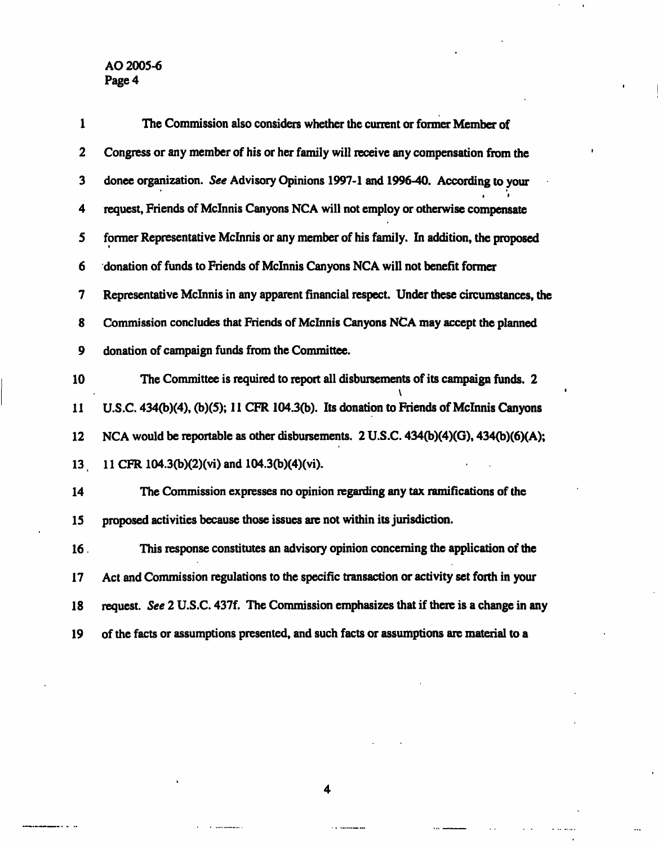ц. l,

| 1               | The Commission also considers whether the current or former Member of                    |
|-----------------|------------------------------------------------------------------------------------------|
| 2               | Congress or any member of his or her family will receive any compensation from the       |
| 3               | donee organization. See Advisory Opinions 1997-1 and 1996-40. According to your          |
| 4               | request, Friends of McInnis Canyons NCA will not employ or otherwise compensate          |
| 5               | former Representative McInnis or any member of his family. In addition, the proposed     |
| 6               | donation of funds to Friends of McInnis Canyons NCA will not benefit former              |
| 7               | Representative McInnis in any apparent financial respect. Under these circumstances, the |
| 8               | Commission concludes that Friends of McInnis Canyons NCA may accept the planned          |
| 9               | donation of campaign funds from the Committee.                                           |
| 10              | The Committee is required to report all disbursements of its campaign funds. 2           |
| 11              | U.S.C. 434(b)(4), (b)(5); 11 CFR 104.3(b). Its donation to Friends of McInnis Canyons    |
| 12              | NCA would be reportable as other disbursements. 2 U.S.C. 434(b)(4)(G), 434(b)(6)(A);     |
| 13 <sub>1</sub> | 11 CFR 104.3(b)(2)(vi) and 104.3(b)(4)(vi).                                              |
| 14              | The Commission expresses no opinion regarding any tax ramifications of the               |
| 15              | proposed activities because those issues are not within its jurisdiction.                |
| 16.             | This response constitutes an advisory opinion concerning the application of the          |
| 17              | Act and Commission regulations to the specific transaction or activity set forth in your |
| 18              | request. See 2 U.S.C. 437f. The Commission emphasizes that if there is a change in any   |
| 19              | of the facts or assumptions presented, and such facts or assumptions are material to a   |

 $\lambda$ 

 $\cdots$ 

 $\ddot{\phantom{a}}$ 

...

**4** 

 $\mathbf{r}$